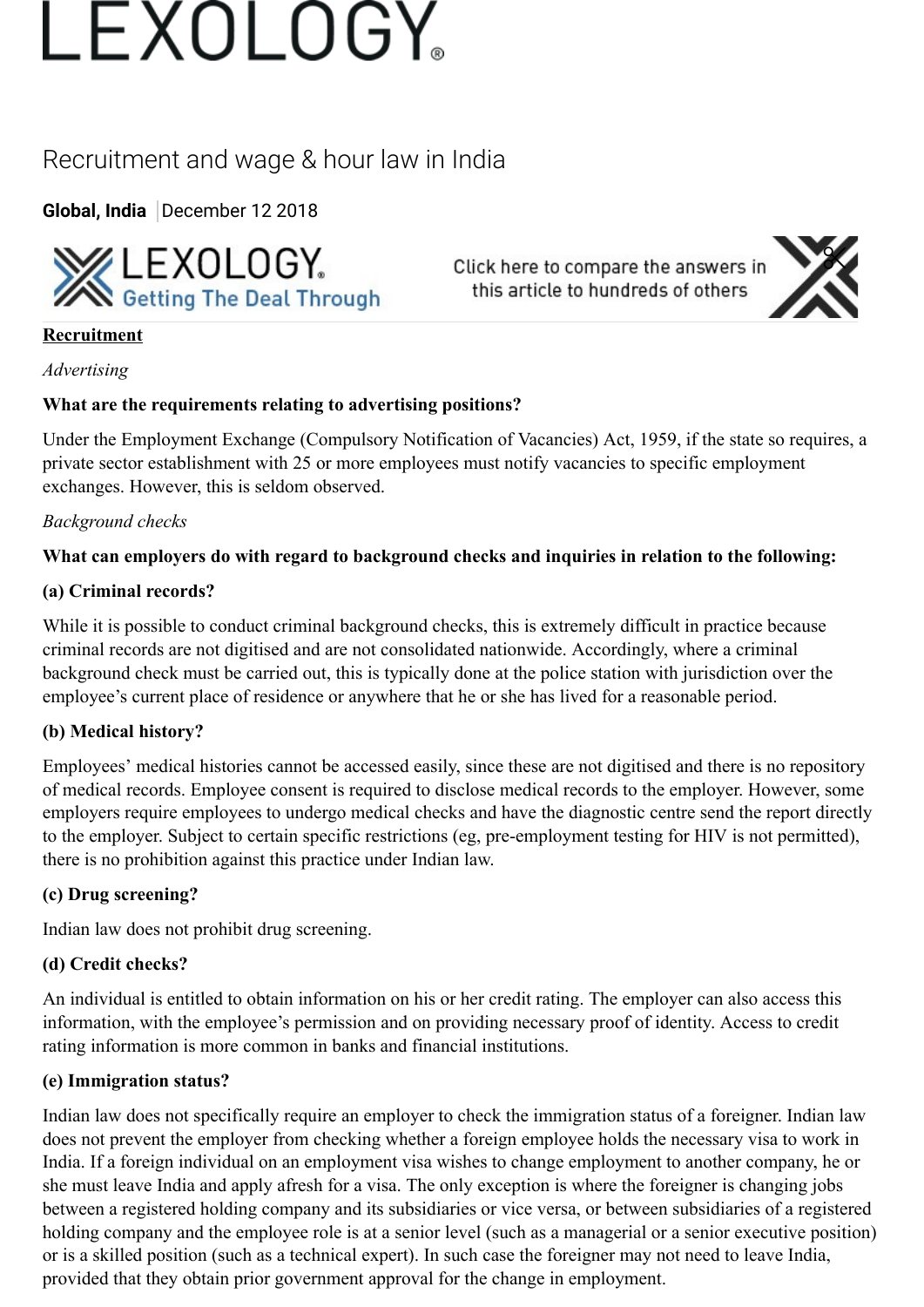# LEXOLOGY

## Recruitment and wage & hour law in India

**[Global,](https://www.lexology.com/hub/global) [India](https://www.lexology.com/hub/india)** December 12 2018



Click here to compare the answers in this article to hundreds of others



#### **Recruitment**

#### *Advertising*

### **What are the requirements relating to advertising positions?**

Under the Employment Exchange (Compulsory Notification of Vacancies) Act, 1959, if the state so requires, a private sector establishment with 25 or more employees must notify vacancies to specific employment exchanges. However, this is seldom observed.

### *Background checks*

### **What can employers do with regard to background checks and inquiries in relation to the following:**

#### **(a) Criminal records?**

While it is possible to conduct criminal background checks, this is extremely difficult in practice because criminal records are not digitised and are not consolidated nationwide. Accordingly, where a criminal background check must be carried out, this is typically done at the police station with jurisdiction over the employee's current place of residence or anywhere that he or she has lived for a reasonable period.

### **(b) Medical history?**

Employees' medical histories cannot be accessed easily, since these are not digitised and there is no repository of medical records. Employee consent is required to disclose medical records to the employer. However, some employers require employees to undergo medical checks and have the diagnostic centre send the report directly to the employer. Subject to certain specific restrictions (eg, pre-employment testing for HIV is not permitted), there is no prohibition against this practice under Indian law.

#### **(c) Drug screening?**

Indian law does not prohibit drug screening.

#### **(d) Credit checks?**

An individual is entitled to obtain information on his or her credit rating. The employer can also access this information, with the employee's permission and on providing necessary proof of identity. Access to credit rating information is more common in banks and financial institutions.

#### **(e) Immigration status?**

Indian law does not specifically require an employer to check the immigration status of a foreigner. Indian law does not prevent the employer from checking whether a foreign employee holds the necessary visa to work in India. If a foreign individual on an employment visa wishes to change employment to another company, he or she must leave India and apply afresh for a visa. The only exception is where the foreigner is changing jobs between a registered holding company and its subsidiaries or vice versa, or between subsidiaries of a registered holding company and the employee role is at a senior level (such as a managerial or a senior executive position) or is a skilled position (such as a technical expert). In such case the foreigner may not need to leave India, provided that they obtain prior government approval for the change in employment.